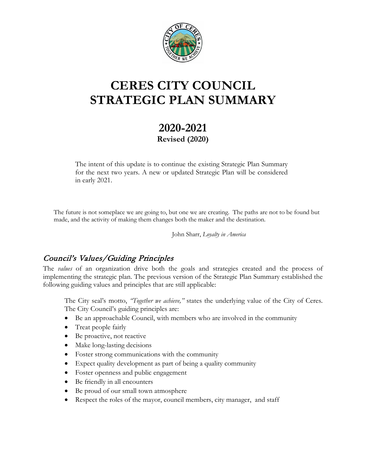

# **CERES CITY COUNCIL STRATEGIC PLAN SUMMARY**

## **2020-2021 Revised (2020)**

The intent of this update is to continue the existing Strategic Plan Summary for the next two years. A new or updated Strategic Plan will be considered in early 2021.

The future is not someplace we are going to, but one we are creating. The paths are not to be found but made, and the activity of making them changes both the maker and the destination.

John Sharr, *Loyalty in America*

## Council's Values/Guiding Principles

The *values* of an organization drive both the goals and strategies created and the process of implementing the strategic plan. The previous version of the Strategic Plan Summary established the following guiding values and principles that are still applicable:

The City seal's motto, *"Together we achieve,"* states the underlying value of the City of Ceres. The City Council's guiding principles are:

- Be an approachable Council, with members who are involved in the community
- Treat people fairly
- Be proactive, not reactive
- Make long-lasting decisions
- Foster strong communications with the community
- Expect quality development as part of being a quality community
- Foster openness and public engagement
- Be friendly in all encounters
- Be proud of our small town atmosphere
- Respect the roles of the mayor, council members, city manager, and staff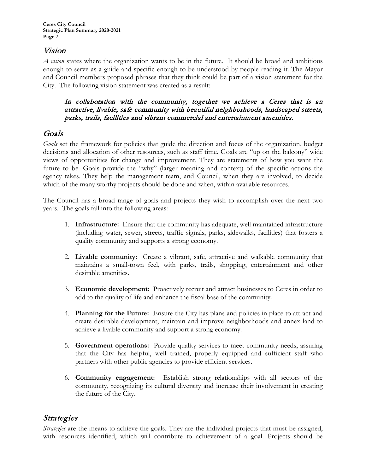## Vision

*A vision* states where the organization wants to be in the future. It should be broad and ambitious enough to serve as a guide and specific enough to be understood by people reading it. The Mayor and Council members proposed phrases that they think could be part of a vision statement for the City. The following vision statement was created as a result:

#### In collaboration with the community, together we achieve a Ceres that is an attractive, livable, safe community with beautiful neighborhoods, landscaped streets, parks, trails, facilities and vibrant commercial and entertainment amenities.

## Goals

*Goals* set the framework for policies that guide the direction and focus of the organization, budget decisions and allocation of other resources, such as staff time. Goals are "up on the balcony" wide views of opportunities for change and improvement. They are statements of how you want the future to be. Goals provide the "why" (larger meaning and context) of the specific actions the agency takes. They help the management team, and Council, when they are involved, to decide which of the many worthy projects should be done and when, within available resources.

The Council has a broad range of goals and projects they wish to accomplish over the next two years. The goals fall into the following areas:

- 1. **Infrastructure:** Ensure that the community has adequate, well maintained infrastructure (including water, sewer, streets, traffic signals, parks, sidewalks, facilities) that fosters a quality community and supports a strong economy.
- 2. **Livable community:** Create a vibrant, safe, attractive and walkable community that maintains a small-town feel, with parks, trails, shopping, entertainment and other desirable amenities.
- 3. **Economic development:** Proactively recruit and attract businesses to Ceres in order to add to the quality of life and enhance the fiscal base of the community.
- 4. **Planning for the Future:** Ensure the City has plans and policies in place to attract and create desirable development, maintain and improve neighborhoods and annex land to achieve a livable community and support a strong economy.
- 5. **Government operations:** Provide quality services to meet community needs, assuring that the City has helpful, well trained, properly equipped and sufficient staff who partners with other public agencies to provide efficient services.
- 6. **Community engagement:** Establish strong relationships with all sectors of the community, recognizing its cultural diversity and increase their involvement in creating the future of the City.

## Strategies

*Strategies* are the means to achieve the goals. They are the individual projects that must be assigned, with resources identified, which will contribute to achievement of a goal. Projects should be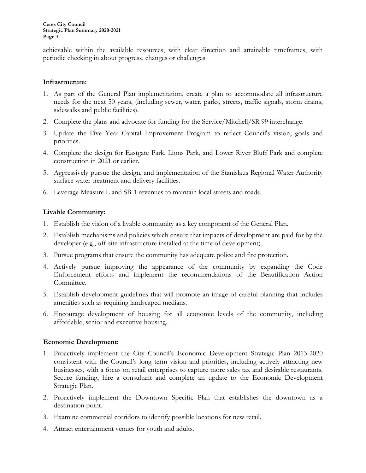achievable within the available resources, with clear direction and attainable timeframes, with periodic checking in about progress, changes or challenges.

#### **Infrastructure:**

- 1. As part of the General Plan implementation, create a plan to accommodate all infrastructure needs for the next 50 years, (including sewer, water, parks, streets, traffic signals, storm drains, sidewalks and public facilities).
- 2. Complete the plans and advocate for funding for the Service/Mitchell/SR 99 interchange.
- 3. Update the Five Year Capital Improvement Program to reflect Council's vision, goals and priorities.
- 4. Complete the design for Eastgate Park, Lions Park, and Lower River Bluff Park and complete construction in 2021 or earlier.
- 5. Aggressively pursue the design, and implementation of the Stanislaus Regional Water Authority surface water treatment and delivery facilities.
- 6. Leverage Measure L and SB-1 revenues to maintain local streets and roads.

#### **Livable Community:**

- 1. Establish the vision of a livable community as a key component of the General Plan.
- 2. Establish mechanisms and policies which ensure that impacts of development are paid for by the developer (e.g., off-site infrastructure installed at the time of development).
- 3. Pursue programs that ensure the community has adequate police and fire protection.
- 4. Actively pursue improving the appearance of the community by expanding the Code Enforcement efforts and implement the recommendations of the Beautification Action Committee.
- 5. Establish development guidelines that will promote an image of careful planning that includes amenities such as requiring landscaped medians.
- 6. Encourage development of housing for all economic levels of the community, including affordable, senior and executive housing.

#### **Economic Development:**

- 1. Proactively implement the City Council's Economic Development Strategic Plan 2013-2020 consistent with the Council's long term vision and priorities, including actively attracting new businesses, with a focus on retail enterprises to capture more sales tax and desirable restaurants. Secure funding, hire a consultant and complete an update to the Economic Development Strategic Plan.
- 2. Proactively implement the Downtown Specific Plan that establishes the downtown as a destination point.
- 3. Examine commercial corridors to identify possible locations for new retail.
- 4. Attract entertainment venues for youth and adults.